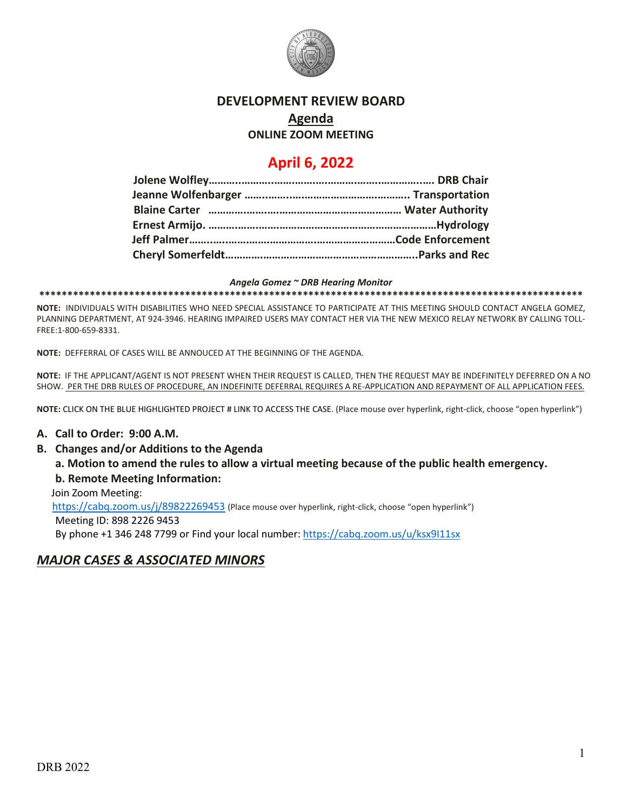

# **DEVELOPMENT REVIEW BOARD**

## **Agenda**

### **ONLINE ZOOM MEETING**

## **April 6, 2022**

#### *Angela Gomez ~ DRB Hearing Monitor*

**\*\*\*\*\*\*\*\*\*\*\*\*\*\*\*\*\*\*\*\*\*\*\*\*\*\*\*\*\*\*\*\*\*\*\*\*\*\*\*\*\*\*\*\*\*\*\*\*\*\*\*\*\*\*\*\*\*\*\*\*\*\*\*\*\*\*\*\*\*\*\*\*\*\*\*\*\*\*\*\*\*\*\*\*\*\*\*\*\*\*\*\*\*\*\*\*\***

**NOTE:** INDIVIDUALS WITH DISABILITIES WHO NEED SPECIAL ASSISTANCE TO PARTICIPATE AT THIS MEETING SHOULD CONTACT ANGELA GOMEZ, PLANNING DEPARTMENT, AT 924-3946. HEARING IMPAIRED USERS MAY CONTACT HER VIA THE NEW MEXICO RELAY NETWORK BY CALLING TOLL-FREE:1-800-659-8331.

**NOTE:** DEFFERRAL OF CASES WILL BE ANNOUCED AT THE BEGINNING OF THE AGENDA.

**NOTE:** IF THE APPLICANT/AGENT IS NOT PRESENT WHEN THEIR REQUEST IS CALLED, THEN THE REQUEST MAY BE INDEFINITELY DEFERRED ON A NO SHOW. PER THE DRB RULES OF PROCEDURE, AN INDEFINITE DEFERRAL REQUIRES A RE-APPLICATION AND REPAYMENT OF ALL APPLICATION FEES.

**NOTE:** CLICK ON THE BLUE HIGHLIGHTED PROJECT # LINK TO ACCESS THE CASE. (Place mouse over hyperlink, right-click, choose "open hyperlink")

### **A. Call to Order: 9:00 A.M.**

**B. Changes and/or Additions to the Agenda**

**a. Motion to amend the rules to allow a virtual meeting because of the public health emergency. b. Remote Meeting Information:** 

Join Zoom Meeting:

 <https://cabq.zoom.us/j/89822269453> (Place mouse over hyperlink, right-click, choose "open hyperlink") Meeting ID: 898 2226 9453

By phone +1 346 248 7799 or Find your local number:<https://cabq.zoom.us/u/ksx9I11sx>

## *MAJOR CASES & ASSOCIATED MINORS*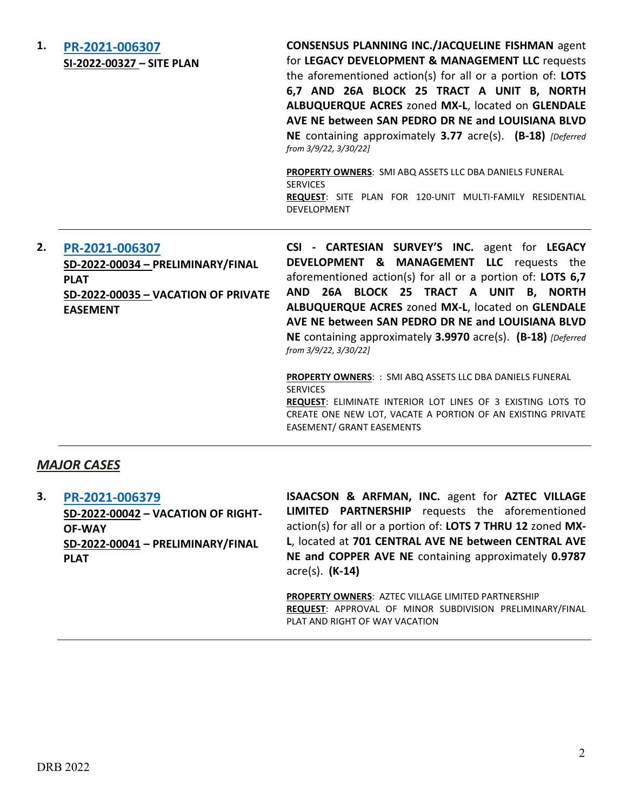| 1.<br>PR-2021-006307<br>SI-2022-00327 - SITE PLAN                                           |                                     | <b>CONSENSUS PLANNING INC./JACQUELINE FISHMAN agent</b><br>for LEGACY DEVELOPMENT & MANAGEMENT LLC requests<br>the aforementioned action(s) for all or a portion of: LOTS<br>6,7 AND 26A BLOCK 25 TRACT A UNIT B, NORTH<br>ALBUQUERQUE ACRES zoned MX-L, located on GLENDALE<br>AVE NE between SAN PEDRO DR NE and LOUISIANA BLVD<br>NE containing approximately 3.77 acre(s). (B-18) [Deferred<br>from 3/9/22, 3/30/22]<br>PROPERTY OWNERS: SMI ABQ ASSETS LLC DBA DANIELS FUNERAL<br><b>SERVICES</b><br>REQUEST: SITE PLAN FOR 120-UNIT MULTI-FAMILY RESIDENTIAL<br><b>DEVELOPMENT</b> |
|---------------------------------------------------------------------------------------------|-------------------------------------|------------------------------------------------------------------------------------------------------------------------------------------------------------------------------------------------------------------------------------------------------------------------------------------------------------------------------------------------------------------------------------------------------------------------------------------------------------------------------------------------------------------------------------------------------------------------------------------|
| 2.<br>PR-2021-006307<br>SD-2022-00034 - PRELIMINARY/FINAL<br><b>PLAT</b><br><b>EASEMENT</b> | SD-2022-00035 - VACATION OF PRIVATE | CSI - CARTESIAN SURVEY'S INC. agent for LEGACY<br>DEVELOPMENT & MANAGEMENT LLC requests the<br>aforementioned action(s) for all or a portion of: LOTS 6,7<br>AND 26A BLOCK 25 TRACT A UNIT B, NORTH<br>ALBUQUERQUE ACRES zoned MX-L, located on GLENDALE<br>AVE NE between SAN PEDRO DR NE and LOUISIANA BLVD<br>NE containing approximately 3.9970 acre(s). (B-18) [Deferred]<br>from 3/9/22, 3/30/22]                                                                                                                                                                                  |
|                                                                                             |                                     |                                                                                                                                                                                                                                                                                                                                                                                                                                                                                                                                                                                          |

## *MAJOR CASES*

**3. [PR-2021-006379](http://data.cabq.gov/government/planning/DRB/PR-2021-006379/DRB%20Submittals/PR-2021-006379_April_6_2022%20(VRW,%20P&F)/DRB%20APPLICATION%20PACKAGE.pdf) SD-2022-00042 – VACATION OF RIGHT-OF-WAY SD-2022-00041 – PRELIMINARY/FINAL PLAT ISAACSON & ARFMAN, INC.** agent for **AZTEC VILLAGE LIMITED PARTNERSHIP** requests the aforementioned action(s) for all or a portion of: **LOTS 7 THRU 12** zoned **MX-L**, located at **701 CENTRAL AVE NE between CENTRAL AVE NE and COPPER AVE NE** containing approximately **0.9787** acre(s). **(K-14)**

> **PROPERTY OWNERS**: AZTEC VILLAGE LIMITED PARTNERSHIP **REQUEST**: APPROVAL OF MINOR SUBDIVISION PRELIMINARY/FINAL PLAT AND RIGHT OF WAY VACATION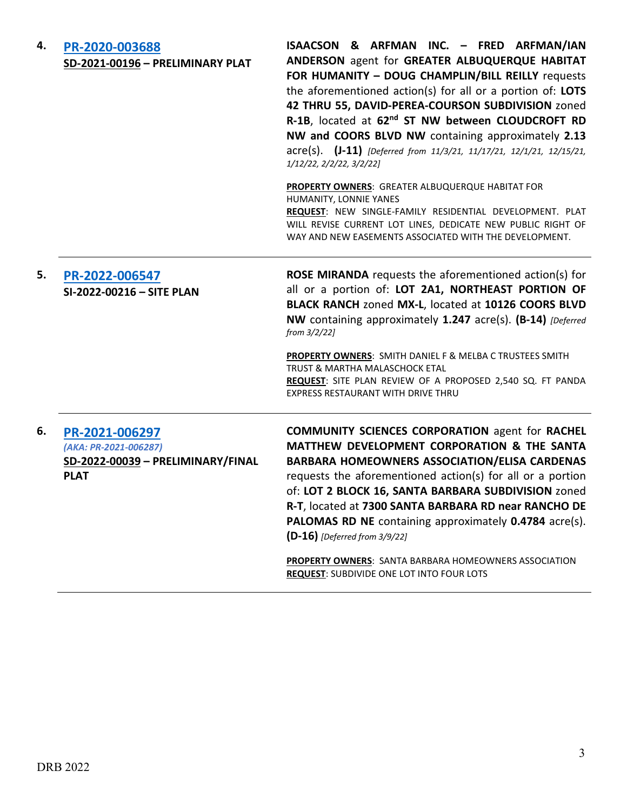| 4. | PR-2020-003688<br>SD-2021-00196 - PRELIMINARY PLAT                                          | ISAACSON & ARFMAN INC. - FRED ARFMAN/IAN<br>ANDERSON agent for GREATER ALBUQUERQUE HABITAT<br>FOR HUMANITY - DOUG CHAMPLIN/BILL REILLY requests<br>the aforementioned action(s) for all or a portion of: LOTS<br>42 THRU 55, DAVID-PEREA-COURSON SUBDIVISION zoned<br>R-1B, located at 62nd ST NW between CLOUDCROFT RD<br>NW and COORS BLVD NW containing approximately 2.13<br>acre(s). (J-11) [Deferred from 11/3/21, 11/17/21, 12/1/21, 12/15/21,<br>1/12/22, 2/2/22, 3/2/22]                       |
|----|---------------------------------------------------------------------------------------------|---------------------------------------------------------------------------------------------------------------------------------------------------------------------------------------------------------------------------------------------------------------------------------------------------------------------------------------------------------------------------------------------------------------------------------------------------------------------------------------------------------|
|    |                                                                                             | PROPERTY OWNERS: GREATER ALBUQUERQUE HABITAT FOR<br>HUMANITY, LONNIE YANES<br>REQUEST: NEW SINGLE-FAMILY RESIDENTIAL DEVELOPMENT. PLAT<br>WILL REVISE CURRENT LOT LINES, DEDICATE NEW PUBLIC RIGHT OF<br>WAY AND NEW EASEMENTS ASSOCIATED WITH THE DEVELOPMENT.                                                                                                                                                                                                                                         |
| 5. | PR-2022-006547<br>SI-2022-00216 - SITE PLAN                                                 | ROSE MIRANDA requests the aforementioned action(s) for<br>all or a portion of: LOT 2A1, NORTHEAST PORTION OF<br>BLACK RANCH zoned MX-L, located at 10126 COORS BLVD<br>NW containing approximately 1.247 acre(s). (B-14) [Deferred<br>from 3/2/22]<br><b>PROPERTY OWNERS: SMITH DANIEL F &amp; MELBA C TRUSTEES SMITH</b><br>TRUST & MARTHA MALASCHOCK ETAL<br>REQUEST: SITE PLAN REVIEW OF A PROPOSED 2,540 SQ. FT PANDA<br><b>EXPRESS RESTAURANT WITH DRIVE THRU</b>                                  |
| 6. | PR-2021-006297<br>(AKA: PR-2021-006287)<br>SD-2022-00039 - PRELIMINARY/FINAL<br><b>PLAT</b> | <b>COMMUNITY SCIENCES CORPORATION agent for RACHEL</b><br>MATTHEW DEVELOPMENT CORPORATION & THE SANTA<br><b>BARBARA HOMEOWNERS ASSOCIATION/ELISA CARDENAS</b><br>requests the aforementioned action(s) for all or a portion<br>of: LOT 2 BLOCK 16, SANTA BARBARA SUBDIVISION zoned<br>R-T, located at 7300 SANTA BARBARA RD near RANCHO DE<br>PALOMAS RD NE containing approximately 0.4784 acre(s).<br>$(D-16)$ [Deferred from 3/9/22]<br><b>PROPERTY OWNERS:</b> SANTA BARBARA HOMEOWNERS ASSOCIATION |

**REQUEST**: SUBDIVIDE ONE LOT INTO FOUR LOTS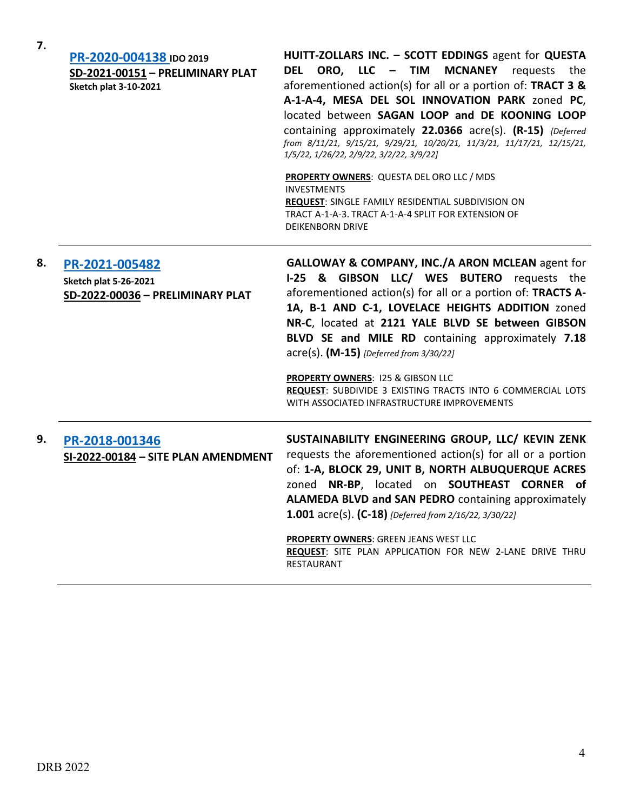| 7. | PR-2020-004138 IDO 2019<br>SD-2021-00151 - PRELIMINARY PLAT<br><b>Sketch plat 3-10-2021</b> | HUITT-ZOLLARS INC. - SCOTT EDDINGS agent for QUESTA<br>DEL ORO, LLC - TIM MCNANEY requests the<br>aforementioned action(s) for all or a portion of: TRACT 3 &<br>A-1-A-4, MESA DEL SOL INNOVATION PARK zoned PC,<br>located between SAGAN LOOP and DE KOONING LOOP<br>containing approximately 22.0366 acre(s). (R-15) {Deferred<br>from 8/11/21, 9/15/21, 9/29/21, 10/20/21, 11/3/21, 11/17/21, 12/15/21,<br>1/5/22, 1/26/22, 2/9/22, 3/2/22, 3/9/22]                                                                               |
|----|---------------------------------------------------------------------------------------------|--------------------------------------------------------------------------------------------------------------------------------------------------------------------------------------------------------------------------------------------------------------------------------------------------------------------------------------------------------------------------------------------------------------------------------------------------------------------------------------------------------------------------------------|
|    |                                                                                             | <b>PROPERTY OWNERS: QUESTA DEL ORO LLC / MDS</b><br><b>INVESTMENTS</b><br>REQUEST: SINGLE FAMILY RESIDENTIAL SUBDIVISION ON<br>TRACT A-1-A-3. TRACT A-1-A-4 SPLIT FOR EXTENSION OF<br><b>DEIKENBORN DRIVE</b>                                                                                                                                                                                                                                                                                                                        |
| 8. | PR-2021-005482<br><b>Sketch plat 5-26-2021</b><br>SD-2022-00036 - PRELIMINARY PLAT          | GALLOWAY & COMPANY, INC./A ARON MCLEAN agent for<br>I-25 & GIBSON LLC/ WES BUTERO requests the<br>aforementioned action(s) for all or a portion of: TRACTS A-<br>1A, B-1 AND C-1, LOVELACE HEIGHTS ADDITION zoned<br>NR-C, located at 2121 YALE BLVD SE between GIBSON<br>BLVD SE and MILE RD containing approximately 7.18<br>acre(s). (M-15) [Deferred from 3/30/22]<br><b>PROPERTY OWNERS: 125 &amp; GIBSON LLC</b><br>REQUEST: SUBDIVIDE 3 EXISTING TRACTS INTO 6 COMMERCIAL LOTS<br>WITH ASSOCIATED INFRASTRUCTURE IMPROVEMENTS |
| 9. | PR-2018-001346<br>SI-2022-00184 - SITE PLAN AMENDMENT                                       | SUSTAINABILITY ENGINEERING GROUP, LLC/ KEVIN ZENK<br>requests the aforementioned action(s) for all or a portion<br>of: 1-A, BLOCK 29, UNIT B, NORTH ALBUQUERQUE ACRES<br>zoned NR-BP, located on SOUTHEAST CORNER of<br>ALAMEDA BLVD and SAN PEDRO containing approximately<br>1.001 acre(s). (C-18) [Deferred from 2/16/22, 3/30/22]<br><b>PROPERTY OWNERS: GREEN JEANS WEST LLC</b><br>REQUEST: SITE PLAN APPLICATION FOR NEW 2-LANE DRIVE THRU<br>RESTAURANT                                                                      |

**7.**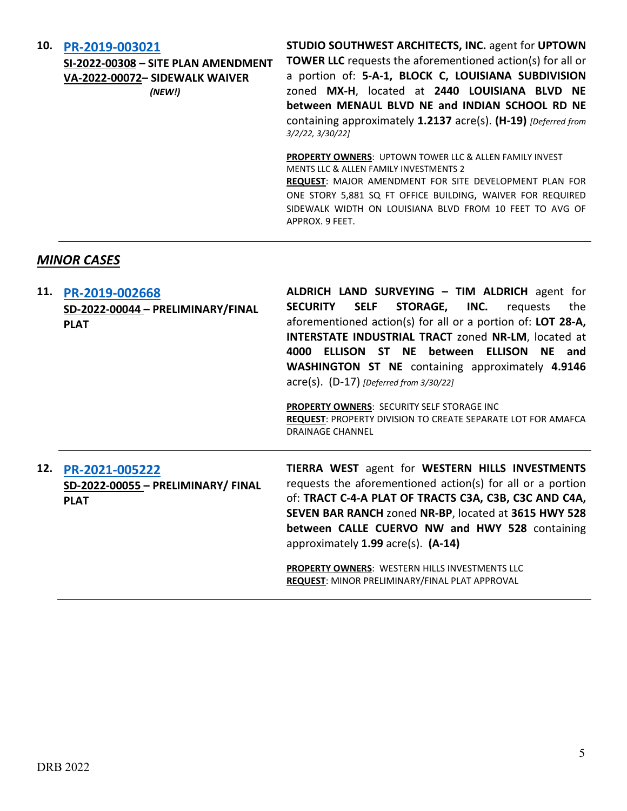| 10. | PR-2019-003021<br>SI-2022-00308 - SITE PLAN AMENDMENT<br>VA-2022-00072- SIDEWALK WAIVER<br>(NEW!) | <b>STUDIO SOUTHWEST ARCHITECTS, INC. agent for UPTOWN</b><br><b>TOWER LLC</b> requests the aforementioned action(s) for all or<br>a portion of: 5-A-1, BLOCK C, LOUISIANA SUBDIVISION<br>zoned MX-H, located at 2440 LOUISIANA BLVD NE<br>between MENAUL BLVD NE and INDIAN SCHOOL RD NE<br>containing approximately 1.2137 acre(s). (H-19) [Deferred from<br>3/2/22, 3/30/22 |
|-----|---------------------------------------------------------------------------------------------------|-------------------------------------------------------------------------------------------------------------------------------------------------------------------------------------------------------------------------------------------------------------------------------------------------------------------------------------------------------------------------------|
|     |                                                                                                   | <b>PROPERTY OWNERS: UPTOWN TOWER LLC &amp; ALLEN FAMILY INVEST</b><br><b>MENTS LLC &amp; ALLEN FAMILY INVESTMENTS 2</b><br><b>REQUEST: MAJOR AMENDMENT FOR SITE DEVELOPMENT PLAN FOR</b><br>ONE STORY 5,881 SQ FT OFFICE BUILDING, WAIVER FOR REQUIRED<br>SIDEWALK WIDTH ON LOUISIANA BLVD FROM 10 FEET TO AVG OF<br>APPROX. 9 FEET.                                          |

# *MINOR CASES*

|     | 11. PR-2019-002668<br>SD-2022-00044 - PRELIMINARY/FINAL<br><b>PLAT</b> | ALDRICH LAND SURVEYING - TIM ALDRICH agent for<br><b>SELF</b><br>STORAGE, INC.<br><b>SECURITY</b><br>the<br>requests<br>aforementioned action(s) for all or a portion of: LOT 28-A,<br><b>INTERSTATE INDUSTRIAL TRACT zoned NR-LM, located at</b><br>4000 ELLISON ST NE between<br>ELLISON NE and<br><b>WASHINGTON ST NE</b> containing approximately 4.9146<br>acre(s). (D-17) [Deferred from 3/30/22]<br><b>PROPERTY OWNERS: SECURITY SELF STORAGE INC</b><br><b>REQUEST: PROPERTY DIVISION TO CREATE SEPARATE LOT FOR AMAFCA</b><br><b>DRAINAGE CHANNEL</b> |
|-----|------------------------------------------------------------------------|----------------------------------------------------------------------------------------------------------------------------------------------------------------------------------------------------------------------------------------------------------------------------------------------------------------------------------------------------------------------------------------------------------------------------------------------------------------------------------------------------------------------------------------------------------------|
| 12. | PR-2021-005222<br>SD-2022-00055 - PRELIMINARY/ FINAL<br><b>PLAT</b>    | TIERRA WEST agent for WESTERN HILLS INVESTMENTS<br>requests the aforementioned action(s) for all or a portion<br>of: TRACT C-4-A PLAT OF TRACTS C3A, C3B, C3C AND C4A,<br>SEVEN BAR RANCH zoned NR-BP, located at 3615 HWY 528<br>between CALLE CUERVO NW and HWY 528 containing<br>approximately $1.99$ acre(s). $(A-14)$<br><b>DRODERTY ON/NEDC:</b> WESTERN LILLS INVESTMENTS LLC                                                                                                                                                                           |

**PROPERTY OWNERS**: WESTERN HILLS INVESTMENTS LLC **REQUEST**: MINOR PRELIMINARY/FINAL PLAT APPROVAL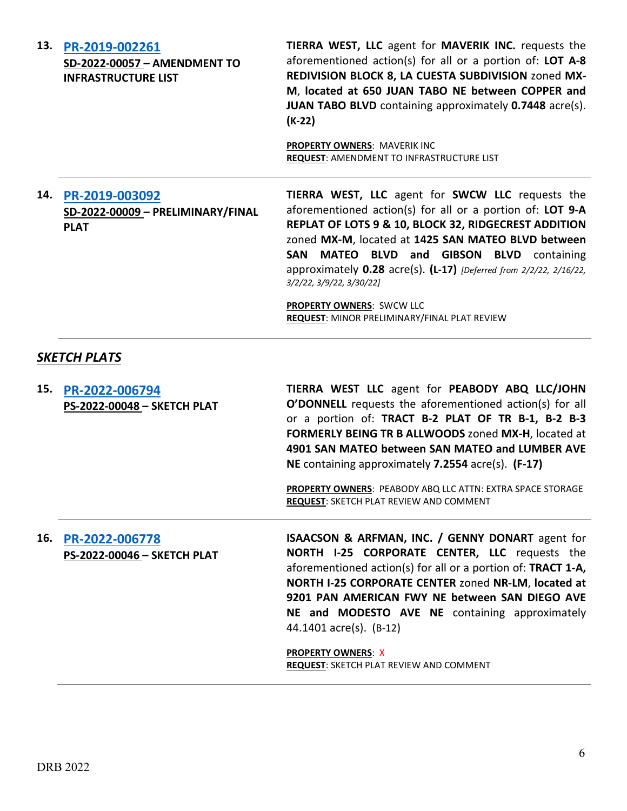| 13. | PR-2019-002261<br>SD-2022-00057 - AMENDMENT TO<br><b>INFRASTRUCTURE LIST</b> | <b>TIERRA WEST, LLC</b> agent for <b>MAVERIK INC.</b> requests the<br>aforementioned action(s) for all or a portion of: LOT A-8<br>REDIVISION BLOCK 8, LA CUESTA SUBDIVISION zoned MX-<br>M, located at 650 JUAN TABO NE between COPPER and<br>JUAN TABO BLVD containing approximately 0.7448 acre(s).<br>$(K-22)$                                                                                                                                                                          |
|-----|------------------------------------------------------------------------------|---------------------------------------------------------------------------------------------------------------------------------------------------------------------------------------------------------------------------------------------------------------------------------------------------------------------------------------------------------------------------------------------------------------------------------------------------------------------------------------------|
|     |                                                                              | <b>PROPERTY OWNERS: MAVERIK INC</b><br><b>REQUEST: AMENDMENT TO INFRASTRUCTURE LIST</b>                                                                                                                                                                                                                                                                                                                                                                                                     |
| 14. | PR-2019-003092<br>SD-2022-00009 - PRELIMINARY/FINAL<br><b>PLAT</b>           | <b>TIERRA WEST, LLC</b> agent for <b>SWCW LLC</b> requests the<br>aforementioned action(s) for all or a portion of: LOT 9-A<br><b>REPLAT OF LOTS 9 &amp; 10, BLOCK 32, RIDGECREST ADDITION</b><br>zoned MX-M, located at 1425 SAN MATEO BLVD between<br>SAN MATEO BLVD and GIBSON BLVD containing<br>approximately $0.28$ acre(s). $(L-17)$ [Deferred from 2/2/22, 2/16/22,<br>3/2/22, 3/9/22, 3/30/22]<br>PROPERTY OWNERS: SWCW LLC<br><b>REQUEST: MINOR PRELIMINARY/FINAL PLAT REVIEW</b> |
|     | <b>SKETCH PLATS</b>                                                          |                                                                                                                                                                                                                                                                                                                                                                                                                                                                                             |
| 15. | PR-2022-006794                                                               | TIERRA WEST LLC agent for PEABODY ABQ LLC/JOHN                                                                                                                                                                                                                                                                                                                                                                                                                                              |

**O'DONNELL** requests the aforementioned action(s) for all or a portion of: **TRACT B-2 PLAT OF TR B-1, B-2 B-3 FORMERLY BEING TR B ALLWOODS** zoned **MX-H**, located at **4901 SAN MATEO between SAN MATEO and LUMBER AVE NE** containing approximately **7.2554** acre(s). **(F-17)**

**PROPERTY OWNERS**: PEABODY ABQ LLC ATTN: EXTRA SPACE STORAGE **REQUEST**: SKETCH PLAT REVIEW AND COMMENT

**16. [PR-2022-006778](http://data.cabq.gov/government/planning/DRB/PR-2022-006778/DRB%20Submittals/PR-2022-006778_April_6_2022%20(Sketch)/Application/DRB%20APPLICATION%20SUBMITTAL.pdf) PS-2022-00046 – SKETCH PLAT**

**PS-2022-00048 – SKETCH PLAT**

**ISAACSON & ARFMAN, INC. / GENNY DONART** agent for **NORTH I-25 CORPORATE CENTER, LLC** requests the aforementioned action(s) for all or a portion of: **TRACT 1-A, NORTH I-25 CORPORATE CENTER** zoned **NR-LM**, **located at 9201 PAN AMERICAN FWY NE between SAN DIEGO AVE NE and MODESTO AVE NE** containing approximately 44.1401 acre(s). (B-12)

**PROPERTY OWNERS**: X **REQUEST**: SKETCH PLAT REVIEW AND COMMENT